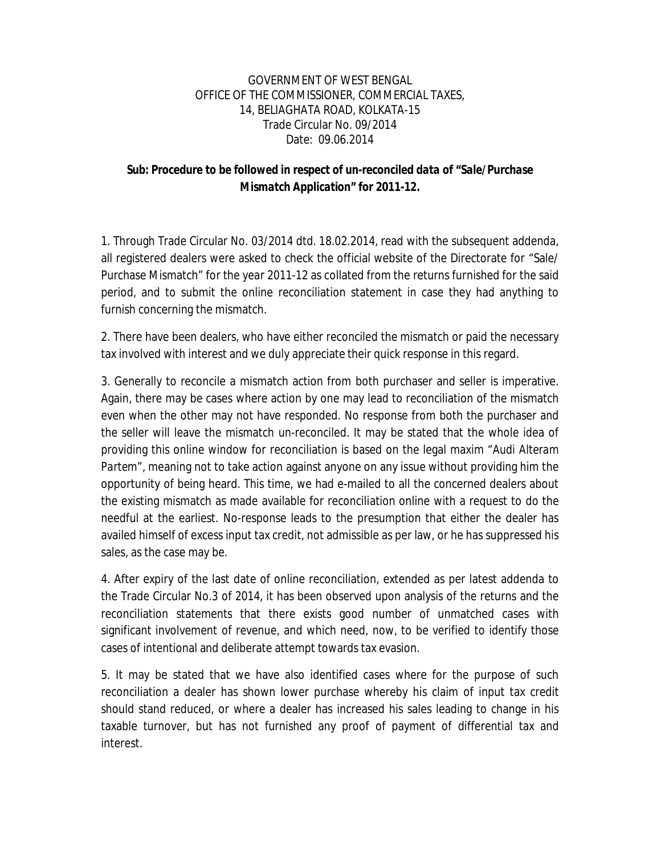## GOVERNMENT OF WEST BENGAL OFFICE OF THE COMMISSIONER, COMMERCIAL TAXES, 14, BELIAGHATA ROAD, KOLKATA-15 Trade Circular No. 09/2014 Date: 09.06.2014

## *Sub: Procedure to be followed in respect of un-reconciled data of "Sale/Purchase Mismatch Application" for 2011-12.*

1. Through Trade Circular No. 03/2014 dtd. 18.02.2014, read with the subsequent addenda, all registered dealers were asked to check the official website of the Directorate for "Sale/ Purchase Mismatch" for the year 2011-12 as collated from the returns furnished for the said period, and to submit the online reconciliation statement in case they had anything to furnish concerning the mismatch.

2. There have been dealers, who have either reconciled the mismatch or paid the necessary tax involved with interest and we duly appreciate their quick response in this regard.

3. Generally to reconcile a mismatch action from both purchaser and seller is imperative. Again, there may be cases where action by one may lead to reconciliation of the mismatch even when the other may not have responded. No response from both the purchaser and the seller will leave the mismatch un-reconciled. It may be stated that the whole idea of providing this online window for reconciliation is based on the legal maxim "*Audi Alteram Partem*", meaning not to take action against anyone on any issue without providing him the opportunity of being heard. This time, we had e-mailed to all the concerned dealers about the existing mismatch as made available for reconciliation online with a request to do the needful at the earliest. No-response leads to the presumption that either the dealer has availed himself of excess input tax credit, not admissible as per law, or he has suppressed his sales, as the case may be.

4. After expiry of the last date of online reconciliation, extended as per latest addenda to the Trade Circular No.3 of 2014, it has been observed upon analysis of the returns and the reconciliation statements that there exists good number of unmatched cases with significant involvement of revenue, and which need, now, to be verified to identify those cases of intentional and deliberate attempt towards tax evasion.

5. It may be stated that we have also identified cases where for the purpose of such reconciliation a dealer has shown lower purchase whereby his claim of input tax credit should stand reduced, or where a dealer has increased his sales leading to change in his taxable turnover, but has not furnished any proof of payment of differential tax and interest.